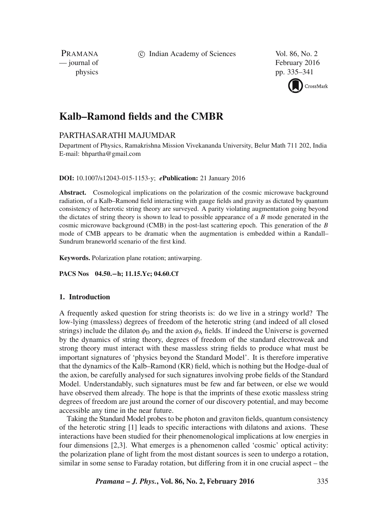c Indian Academy of Sciences Vol. 86, No. 2

PRAMANA<br>
— journal of

February 2016 physics pp. 335–341



# **Kalb–Ramond fields and the CMBR**

# PARTHASARATHI MAJUMDAR

Department of Physics, Ramakrishna Mission Vivekananda University, Belur Math 711 202, India E-mail: bhpartha@gmail.com

**DOI:** 10.1007/s12043-015-1153-y; *e***Publication:** 21 January 2016

**Abstract.** Cosmological implications on the polarization of the cosmic microwave background radiation, of a Kalb–Ramond field interacting with gauge fields and gravity as dictated by quantum consistency of heterotic string theory are surveyed. A parity violating augmentation going beyond the dictates of string theory is shown to lead to possible appearance of a  $B$  mode generated in the cosmic microwave background (CMB) in the post-last scattering epoch. This generation of the  $B$ mode of CMB appears to be dramatic when the augmentation is embedded within a Randall– Sundrum braneworld scenario of the first kind.

**Keywords.** Polarization plane rotation; antiwarping.

**PACS Nos 04.50.**−**h; 11.15.Yc; 04.60.Cf**

# **1. Introduction**

A frequently asked question for string theorists is: do we live in a stringy world? The low-lying (massless) degrees of freedom of the heterotic string (and indeed of all closed strings) include the dilaton  $\phi_D$  and the axion  $\phi_A$  fields. If indeed the Universe is governed by the dynamics of string theory, degrees of freedom of the standard electroweak and strong theory must interact with these massless string fields to produce what must be important signatures of 'physics beyond the Standard Model'. It is therefore imperative that the dynamics of the Kalb–Ramond (KR) field, which is nothing but the Hodge-dual of the axion, be carefully analysed for such signatures involving probe fields of the Standard Model. Understandably, such signatures must be few and far between, or else we would have observed them already. The hope is that the imprints of these exotic massless string degrees of freedom are just around the corner of our discovery potential, and may become accessible any time in the near future.

Taking the Standard Model probes to be photon and graviton fields, quantum consistency of the heterotic string [1] leads to specific interactions with dilatons and axions. These interactions have been studied for their phenomenological implications at low energies in four dimensions [2,3]. What emerges is a phenomenon called 'cosmic' optical activity: the polarization plane of light from the most distant sources is seen to undergo a rotation, similar in some sense to Faraday rotation, but differing from it in one crucial aspect – the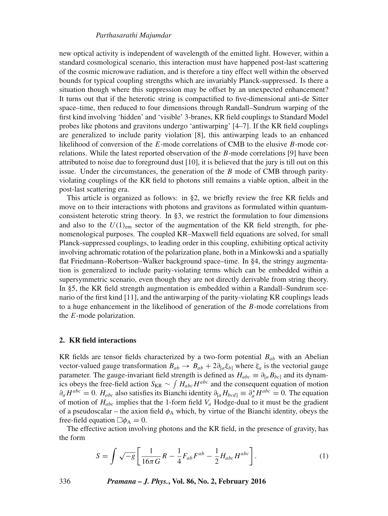#### *Parthasarathi Majumdar*

new optical activity is independent of wavelength of the emitted light. However, within a standard cosmological scenario, this interaction must have happened post-last scattering of the cosmic microwave radiation, and is therefore a tiny effect well within the observed bounds for typical coupling strengths which are invariably Planck-suppressed. Is there a situation though where this suppression may be offset by an unexpected enhancement? It turns out that if the heterotic string is compactified to five-dimensional anti-de Sitter space–time, then reduced to four dimensions through Randall–Sundrum warping of the first kind involving 'hidden' and 'visible' 3-branes, KR field couplings to Standard Model probes like photons and gravitons undergo 'antiwarping' [4–7]. If the KR field couplings are generalized to include parity violation [8], this antiwarping leads to an enhanced likelihood of conversion of the E-mode correlations of CMB to the elusive B-mode correlations. While the latest reported observation of the  $B$ -mode correlations [9] have been attributed to noise due to foreground dust [10], it is believed that the jury is till out on this issue. Under the circumstances, the generation of the  $B$  mode of CMB through parityviolating couplings of the KR field to photons still remains a viable option, albeit in the post-last scattering era.

This article is organized as follows: in §2, we briefly review the free KR fields and move on to their interactions with photons and gravitons as formulated within quantumconsistent heterotic string theory. In §3, we restrict the formulation to four dimensions and also to the  $U(1)_{em}$  sector of the augmentation of the KR field strength, for phenomenological purposes. The coupled KR–Maxwell field equations are solved, for small Planck-suppressed couplings, to leading order in this coupling, exhibiting optical activity involving achromatic rotation of the polarization plane, both in a Minkowski and a spatially flat Friedmann–Robertson–Walker background space–time. In §4, the stringy augmentation is generalized to include parity-violating terms which can be embedded within a supersymmetric scenario, even though they are not directly derivable from string theory. In §5, the KR field strength augmentation is embedded within a Randall–Sundrum scenario of the first kind [11], and the antiwarping of the parity-violating KR couplings leads to a huge enhancement in the likelihood of generation of the B-mode correlations from the E-mode polarization.

#### **2. KR field interactions**

KR fields are tensor fields characterized by a two-form potential  $B_{ab}$  with an Abelian vector-valued gauge transformation  $B_{ab} \to B_{ab} + 2\partial_{[a} \xi_{b]}$  where  $\xi_a$  is the vectorial gauge parameter. The gauge-invariant field strength is defined as  $H_{abc} \equiv \partial_{[a} B_{bc]}$  and its dynamics obeys the free-field action  $S_{KR} \sim \int H_{abc} H^{abc}$  and the consequent equation of motion  $\partial_a H^{abc} = 0$ .  $H_{abc}$  also satisfies its Bianchi identity  $\partial_{[a} H_{bcd]} \equiv \partial_a^* H^{abc} = 0$ . The equation of motion of  $H_{abc}$  implies that the 1-form field  $V_a$  Hodge-dual to it must be the gradient of a pseudoscalar – the axion field  $\phi_A$  which, by virtue of the Bianchi identity, obeys the free-field equation  $\Box \phi_A = 0$ .

The effective action involving photons and the KR field, in the presence of gravity, has the form

$$
S = \int \sqrt{-g} \left[ \frac{1}{16\pi G} R - \frac{1}{4} F_{ab} F^{ab} - \frac{1}{2} H_{abc} H^{abc} \right].
$$
 (1)

336 *Pramana – J. Phys.***, Vol. 86, No. 2, February 2016**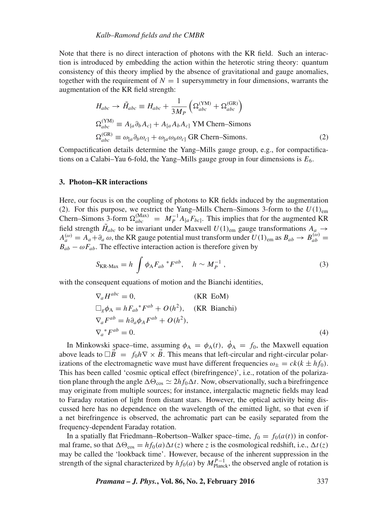#### *Kalb–Ramond fields and the CMBR*

Note that there is no direct interaction of photons with the KR field. Such an interaction is introduced by embedding the action within the heterotic string theory: quantum consistency of this theory implied by the absence of gravitational and gauge anomalies, together with the requirement of  $N = 1$  supersymmetry in four dimensions, warrants the augmentation of the KR field strength:

$$
H_{abc} \rightarrow \tilde{H}_{abc} \equiv H_{abc} + \frac{1}{3M_P} \left( \Omega_{abc}^{(\text{YM})} + \Omega_{abc}^{(\text{GR})} \right)
$$
  
\n
$$
\Omega_{abc}^{(\text{YM})} \equiv A_{[a} \partial_b A_{c]} + A_{[a} A_b A_{c]} \text{ YM Chern-Simons}
$$
  
\n
$$
\Omega_{abc}^{(\text{GR})} \equiv \omega_{[a} \partial_b \omega_{c]} + \omega_{[a} \omega_b \omega_{c]} \text{ GR Chern-Simons.}
$$
\n(2)

Compactification details determine the Yang–Mills gauge group, e.g., for compactifications on a Calabi–Yau 6-fold, the Yang–Mills gauge group in four dimensions is  $E_6$ .

#### **3. Photon–KR interactions**

Here, our focus is on the coupling of photons to KR fields induced by the augmentation (2). For this purpose, we restrict the Yang–Mills Chern–Simons 3-form to the  $U(1)_{em}$ Chern–Simons 3-form  $\Omega_{abc}^{(Max)} = M_P^{-1} A_{[a} F_{bc]}$ . This implies that for the augmented KR field strength  $H_{abc}$  to be invariant under Maxwell  $U(1)_{em}$  gauge transformations  $A_a \rightarrow$  $A_a^{(\omega)} = A_a + \partial_a \omega$ , the KR gauge potential must transform under  $U(1)_{\text{em}}$  as  $B_{ab} \to B_{ab}^{(\omega)} =$  $B_{ab} - \omega F_{ab}$ . The effective interaction action is therefore given by

$$
S_{\text{KR-Max}} = h \int \phi_{\text{A}} F_{ab} {}^* F^{ab}, \quad h \sim M_P^{-1} , \qquad (3)
$$

with the consequent equations of motion and the Bianchi identities,

$$
\nabla_a H^{abc} = 0, \qquad \text{(KR EoM)}
$$
  
\n
$$
\Box_g \phi_A = h F_{ab}{}^* F^{ab} + O(h^2), \qquad \text{(KR Bianchi)}
$$
  
\n
$$
\nabla_a F^{ab} = h \partial_a \phi_A F^{ab} + O(h^2),
$$
  
\n
$$
\nabla_a{}^* F^{ab} = 0.
$$
\n(4)

In Minkowski space–time, assuming  $\phi_A = \phi_A(t)$ ,  $\dot{\phi}_A = f_0$ , the Maxwell equation above leads to  $\Box B = f_0 h \nabla \times B$ . This means that left-circular and right-circular polarizations of the electromagnetic wave must have different frequencies  $\omega_{\pm} = c k (k \pm h f_0)$ . This has been called 'cosmic optical effect (birefringence)', i.e., rotation of the polarization plane through the angle  $\Delta\Theta_{\cos} \simeq 2hf_0\Delta t$ . Now, observationally, such a birefringence may originate from multiple sources; for instance, intergalactic magnetic fields may lead to Faraday rotation of light from distant stars. However, the optical activity being discussed here has no dependence on the wavelength of the emitted light, so that even if a net birefringence is observed, the achromatic part can be easily separated from the frequency-dependent Faraday rotation.

In a spatially flat Friedmann–Robertson–Walker space–time,  $f_0 = f_0(a(t))$  in conformal frame, so that  $\Delta\Theta_{\cos} = hf_0(a)\Delta t(z)$  where z is the cosmological redshift, i.e.,  $\Delta t(z)$ may be called the 'lookback time'. However, because of the inherent suppression in the strength of the signal characterized by  $hf_0(a)$  by  $M_{\text{Planck}}^{P-1}$ , the observed angle of rotation is

*Pramana – J. Phys.***, Vol. 86, No. 2, February 2016** 337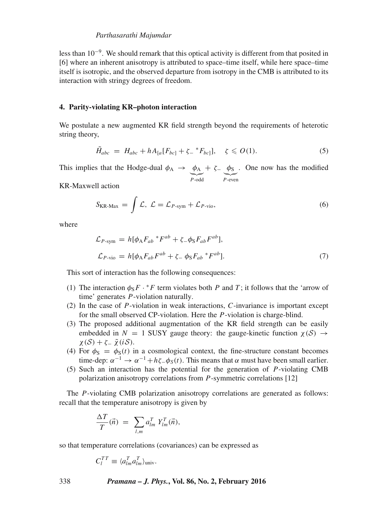less than 10<sup>-9</sup>. We should remark that this optical activity is different from that posited in [6] where an inherent anisotropy is attributed to space–time itself, while here space–time itself is isotropic, and the observed departure from isotropy in the CMB is attributed to its interaction with stringy degrees of freedom.

### **4. Parity-violating KR–photon interaction**

We postulate a new augmented KR field strength beyond the requirements of heterotic string theory,

$$
\tilde{H}_{abc} = H_{abc} + hA_{[a}[F_{bc]} + \zeta_- {}^*F_{bc} ], \quad \zeta \leqslant O(1). \tag{5}
$$

This implies that the Hodge-dual  $\phi_A \rightarrow \phi_A$  $\overline{P\text{-odd}}$  $+$   $\xi - \phi$ s  $\sum_{P\text{-even}}$ . One now has the modified

KR-Maxwell action

$$
S_{\text{KR-Max}} = \int \mathcal{L}, \ \mathcal{L} = \mathcal{L}_{P\text{-sym}} + \mathcal{L}_{P\text{-vio}}, \tag{6}
$$

where

$$
\mathcal{L}_{P\text{-sym}} = h[\phi_A F_{ab} * F^{ab} + \zeta_- \phi_S F_{ab} F^{ab}],
$$
  

$$
\mathcal{L}_{P\text{-vio}} = h[\phi_A F_{ab} F^{ab} + \zeta_- \phi_S F_{ab} * F^{ab}].
$$
 (7)

This sort of interaction has the following consequences:

- (1) The interaction  $\phi_S F \cdot {}^*F$  term violates both P and T; it follows that the 'arrow of time' generates P-violation naturally.
- (2) In the case of P-violation in weak interactions, C-invariance is important except for the small observed CP-violation. Here the P-violation is charge-blind.
- (3) The proposed additional augmentation of the KR field strength can be easily embedded in  $N = 1$  SUSY gauge theory: the gauge-kinetic function  $\chi(S) \rightarrow$  $\chi(S) + \zeta_{-} \tilde{\chi}(iS)$ .
- (4) For  $\phi_s = \phi_s(t)$  in a cosmological context, the fine-structure constant becomes time-dep:  $\alpha^{-1} \to \alpha^{-1} + h\zeta - \phi_S(t)$ . This means that  $\alpha$  must have been small earlier.
- (5) Such an interaction has the potential for the generation of P-violating CMB polarization anisotropy correlations from P-symmetric correlations [12]

The P-violating CMB polarization anisotropy correlations are generated as follows: recall that the temperature anisotropy is given by

$$
\frac{\Delta T}{T}(\vec{n}) = \sum_{l,m} a_{lm}^T Y_{lm}^T(\vec{n}),
$$

so that temperature correlations (covariances) can be expressed as

$$
C_l^{TT} \equiv \langle a_{lm}^T a_{lm}^T \rangle_{\text{univ}}.
$$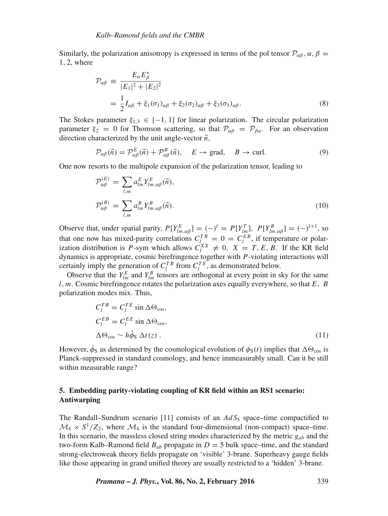Similarly, the polarization anisotropy is expressed in terms of the pol tensor  $\mathcal{P}_{\alpha\beta}$ ,  $\alpha$ ,  $\beta$  = 1, 2, where

$$
\mathcal{P}_{\alpha\beta} \equiv \frac{E_{\alpha} E_{\beta}^{*}}{|E_{1}|^{2} + |E_{2}|^{2}} \n= \frac{1}{2} I_{\alpha\beta} + \xi_{1} (\sigma_{1})_{\alpha\beta} + \xi_{2} (\sigma_{2})_{\alpha\beta} + \xi_{3} (\sigma_{3})_{\alpha\beta}.
$$
\n(8)

The Stokes parameter  $\xi_{1,3} \in [-1, 1]$  for linear polarization. The circular polarization parameter  $\xi_2 = 0$  for Thomson scattering, so that  $\mathcal{P}_{\alpha\beta} = \mathcal{P}_{\beta\alpha}$ . For an observation direction characterized by the unit angle-vector  $\vec{n}$ ,

$$
\mathcal{P}_{\alpha\beta}(\vec{n}) = \mathcal{P}_{\alpha\beta}^{E}(\vec{n}) + \mathcal{P}_{\alpha\beta}^{B}(\vec{n}), \quad E \to \text{grad}, \quad B \to \text{curl.}
$$
 (9)

One now resorts to the multipole expansion of the polarization tensor, leading to

$$
\mathcal{P}_{\alpha\beta}^{(E)} = \sum_{l,m} a_{lm}^E Y_{lm,\alpha\beta}^E(\vec{n}),
$$
\n
$$
\mathcal{P}_{\alpha\beta}^{(B)} = \sum_{l,m} a_{lm}^B Y_{lm,\alpha\beta}^B(\vec{n}).
$$
\n(10)

Observe that, under spatial parity,  $P[Y_{lm,\alpha\beta}^E] = (-)^l = P[Y_{lm}^T]$ ,  $P[Y_{lm,\alpha\beta}^B] = (-)^{l+1}$ , so that one now has mixed-parity correlations  $C_l^{TB} = 0 = C_l^{EB}$ , if temperature or polarization distribution is P-sym which allows  $C_l^{XX} \neq 0$ ,  $X = T, E, B$ . If the KR field dynamics is appropriate, cosmic birefringence together with P-violating interactions will certainly imply the generation of  $C_l^{TB}$  from  $C_l^{TE}$ , as demonstrated below.

Observe that the  $Y_{lm}^E$  and  $Y_{lm}^B$  tensors are orthogonal at every point in sky for the same l, m. Cosmic birefringence rotates the polarization axes equally everywhere, so that  $E$ ,  $B$ polarization modes mix. Thus,

$$
C_l^{TB} = C_l^{TE} \sin \Delta \Theta_{\cos},
$$
  
\n
$$
C_l^{EB} = C_l^{EE} \sin \Delta \Theta_{\cos},
$$
  
\n
$$
\Delta \Theta_{\cos} \sim h \dot{\phi}_{\text{S}} \Delta t(z).
$$
\n(11)

However,  $\phi_s$  as determined by the cosmological evolution of  $\phi_s(t)$  implies that  $\Delta\Theta_{\cos}$  is Planck-suppressed in standard cosmology, and hence immeasurably small. Can it be still within measurable range?

# **5. Embedding parity-violating coupling of KR field within an RS1 scenario: Antiwarping**

The Randall–Sundrum scenario [11] consists of an  $AdS_5$  space–time compactified to  $\mathcal{M}_4 \times S^1/Z_2$ , where  $\mathcal{M}_4$  is the standard four-dimensional (non-compact) space–time. In this scenario, the massless closed string modes characterized by the metric  $g_{ab}$  and the two-form Kalb–Ramond field  $B_{ab}$  propagate in  $D = 5$  bulk space–time, and the standard strong-electroweak theory fields propagate on 'visible' 3-brane. Superheavy gauge fields like those appearing in grand unified theory are usually restricted to a 'hidden' 3-brane.

*Pramana – J. Phys.***, Vol. 86, No. 2, February 2016** 339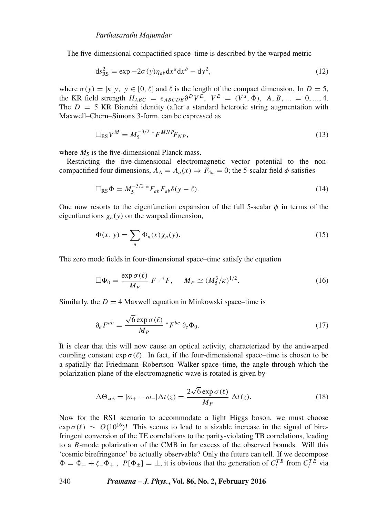### *Parthasarathi Majumdar*

The five-dimensional compactified space–time is described by the warped metric

$$
ds_{RS}^2 = \exp -2\sigma(y)\eta_{ab}dx^a dx^b - dy^2,
$$
\n(12)

where  $\sigma(y) = |\kappa|y, y \in [0, \ell]$  and  $\ell$  is the length of the compact dimension. In  $D = 5$ , the KR field strength  $H_{ABC} = \epsilon_{ABCDE} \partial^D V^E$ ,  $V^E = (V^a, \Phi)$ ,  $A, B, ... = 0, ..., 4$ . The  $D = 5$  KR Bianchi identity (after a standard heterotic string augmentation with Maxwell–Chern–Simons 3-form, can be expressed as

$$
\Box_{\rm RS} V^M = M_5^{-3/2} \, {}^*F^{MNP} F_{NP},\tag{13}
$$

where  $M_5$  is the five-dimensional Planck mass.

Restricting the five-dimensional electromagnetic vector potential to the noncompactified four dimensions,  $A_A = A_a(x) \Rightarrow F_{4a} = 0$ ; the 5-scalar field  $\phi$  satisfies

$$
\Box_{\rm RS} \Phi = M_5^{-3/2} \, {}^*F_{ab} F_{ab} \delta(\mathbf{y} - \ell). \tag{14}
$$

One now resorts to the eigenfunction expansion of the full 5-scalar  $\phi$  in terms of the eigenfunctions  $\chi_n(y)$  on the warped dimension,

$$
\Phi(x, y) = \sum_{n} \Phi_n(x) \chi_n(y). \tag{15}
$$

The zero mode fields in four-dimensional space–time satisfy the equation

$$
\Box \Phi_0 = \frac{\exp \sigma(\ell)}{M_P} F \cdot {}^*F, \quad M_P \simeq (M_5^3/\kappa)^{1/2}.
$$
 (16)

Similarly, the  $D = 4$  Maxwell equation in Minkowski space–time is

$$
\partial_a F^{ab} = \frac{\sqrt{6} \exp \sigma(\ell)}{M_P} * F^{bc} \partial_c \Phi_0.
$$
 (17)

It is clear that this will now cause an optical activity, characterized by the antiwarped coupling constant  $\exp \sigma(\ell)$ . In fact, if the four-dimensional space–time is chosen to be a spatially flat Friedmann–Robertson–Walker space–time, the angle through which the polarization plane of the electromagnetic wave is rotated is given by

$$
\Delta\Theta_{\cos} = |\omega_{+} - \omega_{-}| \Delta t(z) = \frac{2\sqrt{6}\exp\sigma(\ell)}{M_P} \Delta t(z).
$$
 (18)

Now for the RS1 scenario to accommodate a light Higgs boson, we must choose  $\exp \sigma(\ell) \sim O(10^{16})!$  This seems to lead to a sizable increase in the signal of birefringent conversion of the TE correlations to the parity-violating TB correlations, leading to a  $B$ -mode polarization of the CMB in far excess of the observed bounds. Will this 'cosmic birefringence' be actually observable? Only the future can tell. If we decompose  $\Phi = \Phi_- + \zeta_- \Phi_+$ ,  $P[\Phi_{\pm}] = \pm$ , it is obvious that the generation of  $C_l^{TB}$  from  $C_l^{TE}$  via